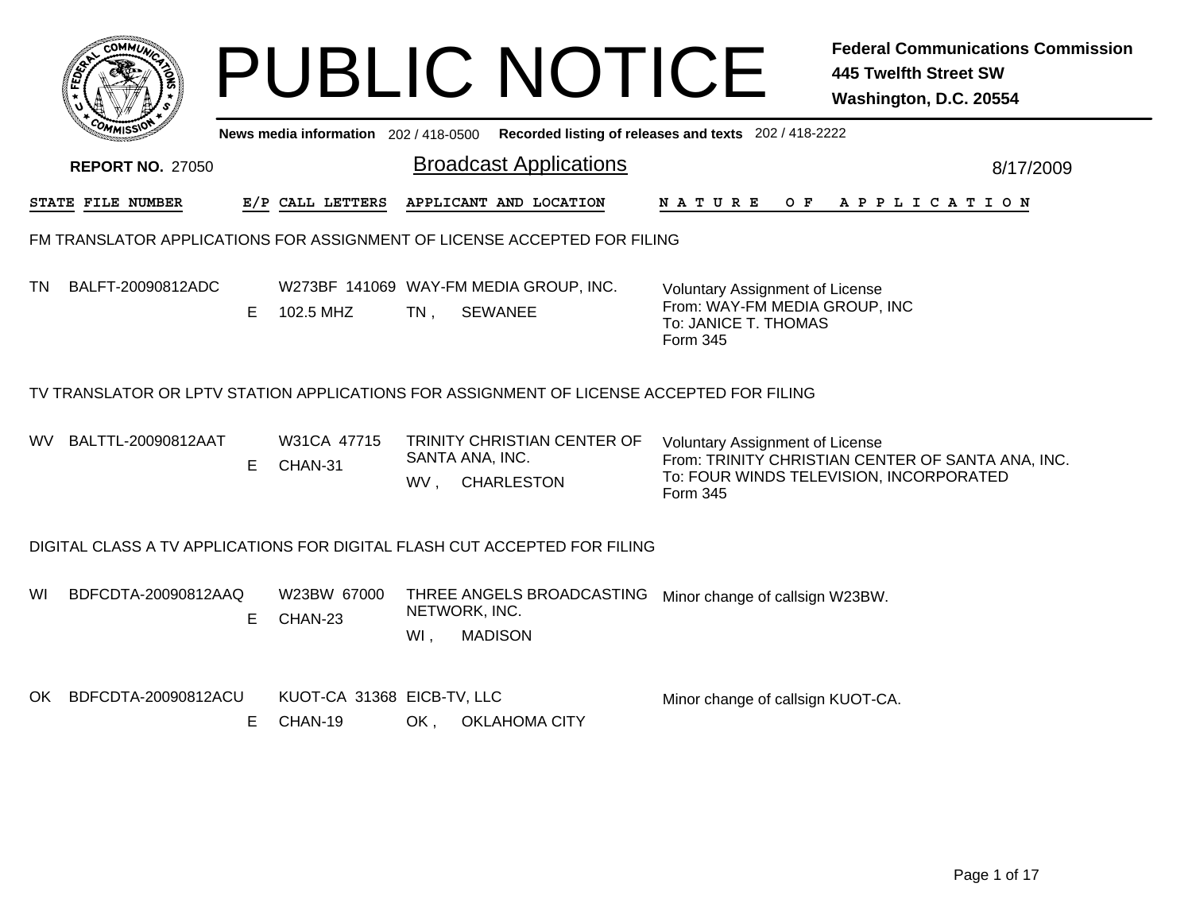|     |                         |    |                                       |                      | <b>PUBLIC NOTICE</b>                                                                        |                                                                                                             | <b>Federal Communications Commission</b><br><b>445 Twelfth Street SW</b><br>Washington, D.C. 20554 |
|-----|-------------------------|----|---------------------------------------|----------------------|---------------------------------------------------------------------------------------------|-------------------------------------------------------------------------------------------------------------|----------------------------------------------------------------------------------------------------|
|     |                         |    |                                       |                      | News media information 202 / 418-0500 Recorded listing of releases and texts 202 / 418-2222 |                                                                                                             |                                                                                                    |
|     | <b>REPORT NO. 27050</b> |    |                                       |                      | <b>Broadcast Applications</b>                                                               |                                                                                                             | 8/17/2009                                                                                          |
|     | STATE FILE NUMBER       |    | E/P CALL LETTERS                      |                      | APPLICANT AND LOCATION                                                                      | N A T U R E<br>O F                                                                                          | A P P L I C A T I O N                                                                              |
|     |                         |    |                                       |                      | FM TRANSLATOR APPLICATIONS FOR ASSIGNMENT OF LICENSE ACCEPTED FOR FILING                    |                                                                                                             |                                                                                                    |
| TN. | BALFT-20090812ADC       | Е  | 102.5 MHZ                             | $TN$ .               | W273BF 141069 WAY-FM MEDIA GROUP, INC.<br><b>SEWANEE</b>                                    | <b>Voluntary Assignment of License</b><br>From: WAY-FM MEDIA GROUP, INC<br>To: JANICE T. THOMAS<br>Form 345 |                                                                                                    |
|     |                         |    |                                       |                      | TV TRANSLATOR OR LPTV STATION APPLICATIONS FOR ASSIGNMENT OF LICENSE ACCEPTED FOR FILING    |                                                                                                             |                                                                                                    |
| WV. | BALTTL-20090812AAT      | E. | W31CA 47715<br>CHAN-31                | SANTA ANA, INC.      | TRINITY CHRISTIAN CENTER OF<br>WV, CHARLESTON                                               | <b>Voluntary Assignment of License</b><br>Form 345                                                          | From: TRINITY CHRISTIAN CENTER OF SANTA ANA, INC.<br>To: FOUR WINDS TELEVISION, INCORPORATED       |
|     |                         |    |                                       |                      | DIGITAL CLASS A TV APPLICATIONS FOR DIGITAL FLASH CUT ACCEPTED FOR FILING                   |                                                                                                             |                                                                                                    |
| WI  | BDFCDTA-20090812AAQ     | Е  | W23BW 67000<br>CHAN-23                | NETWORK, INC.<br>WI, | THREE ANGELS BROADCASTING<br><b>MADISON</b>                                                 | Minor change of callsign W23BW.                                                                             |                                                                                                    |
| OK. | BDFCDTA-20090812ACU     | E. | KUOT-CA 31368 EICB-TV, LLC<br>CHAN-19 | OK,                  | <b>OKLAHOMA CITY</b>                                                                        | Minor change of callsign KUOT-CA.                                                                           |                                                                                                    |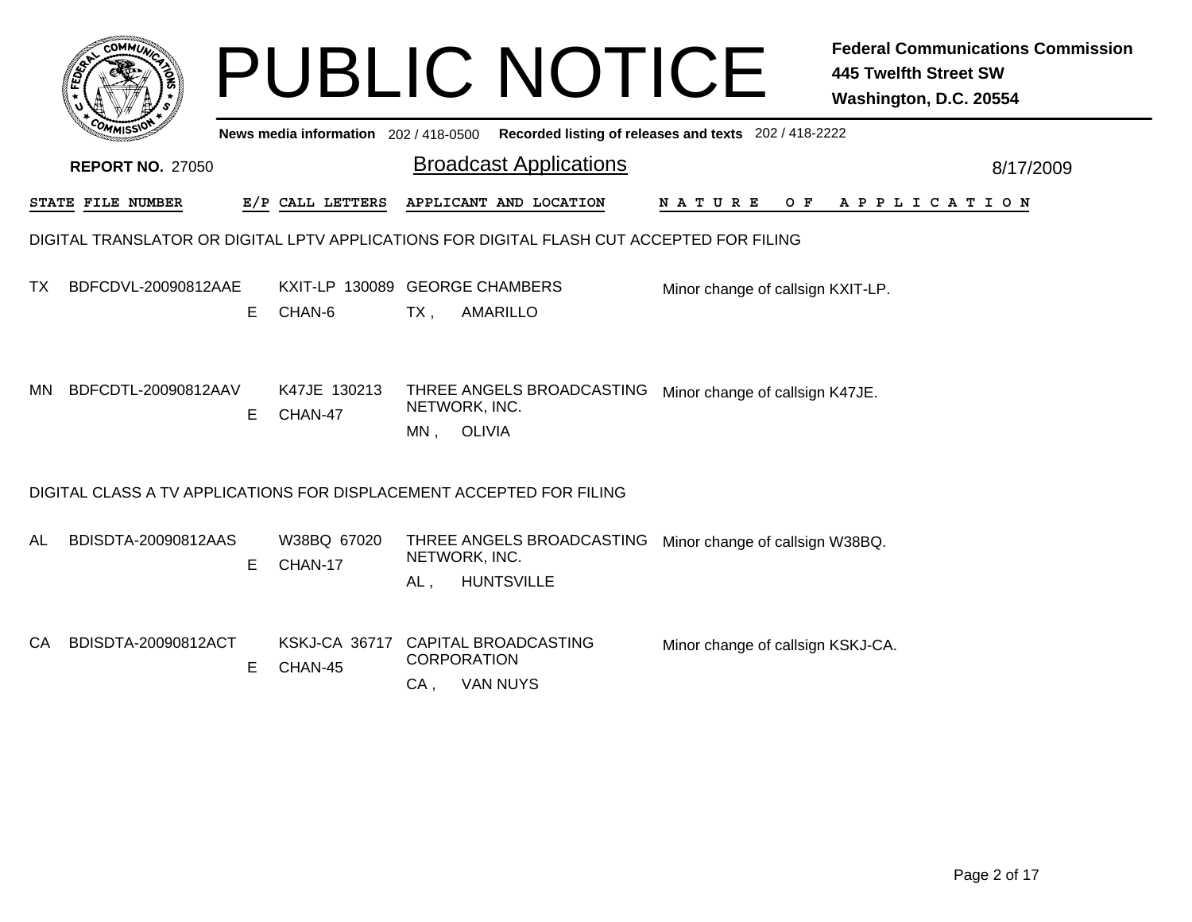|     |                                                                                           |    |                                               |                                                 | <b>PUBLIC NOTICE</b>                                  |                                   | <b>Federal Communications Commission</b><br><b>445 Twelfth Street SW</b><br>Washington, D.C. 20554 |
|-----|-------------------------------------------------------------------------------------------|----|-----------------------------------------------|-------------------------------------------------|-------------------------------------------------------|-----------------------------------|----------------------------------------------------------------------------------------------------|
|     |                                                                                           |    | News media information 202/418-0500           |                                                 | Recorded listing of releases and texts 202 / 418-2222 |                                   |                                                                                                    |
|     | <b>REPORT NO. 27050</b>                                                                   |    |                                               |                                                 | <b>Broadcast Applications</b>                         |                                   | 8/17/2009                                                                                          |
|     | STATE FILE NUMBER                                                                         |    | E/P CALL LETTERS                              | APPLICANT AND LOCATION                          |                                                       | N A T U R E                       | O F<br>A P P L I C A T I O N                                                                       |
|     | DIGITAL TRANSLATOR OR DIGITAL LPTV APPLICATIONS FOR DIGITAL FLASH CUT ACCEPTED FOR FILING |    |                                               |                                                 |                                                       |                                   |                                                                                                    |
| TX. | BDFCDVL-20090812AAE                                                                       | E  | KXIT-LP 130089 GEORGE CHAMBERS<br>CHAN-6      | $TX$ ,<br><b>AMARILLO</b>                       |                                                       | Minor change of callsign KXIT-LP. |                                                                                                    |
| ΜN  | BDFCDTL-20090812AAV                                                                       | E  | K47JE 130213<br>CHAN-47                       | NETWORK, INC.<br>MN, OLIVIA                     | THREE ANGELS BROADCASTING                             | Minor change of callsign K47JE.   |                                                                                                    |
|     | DIGITAL CLASS A TV APPLICATIONS FOR DISPLACEMENT ACCEPTED FOR FILING                      |    |                                               |                                                 |                                                       |                                   |                                                                                                    |
| AL  | BDISDTA-20090812AAS                                                                       | Е  | W38BQ 67020<br>CHAN-17                        | NETWORK, INC.<br><b>HUNTSVILLE</b><br>AL,       | THREE ANGELS BROADCASTING                             | Minor change of callsign W38BQ.   |                                                                                                    |
| CA. | BDISDTA-20090812ACT                                                                       | E. | KSKJ-CA 36717 CAPITAL BROADCASTING<br>CHAN-45 | <b>CORPORATION</b><br>$CA$ .<br><b>VAN NUYS</b> |                                                       | Minor change of callsign KSKJ-CA. |                                                                                                    |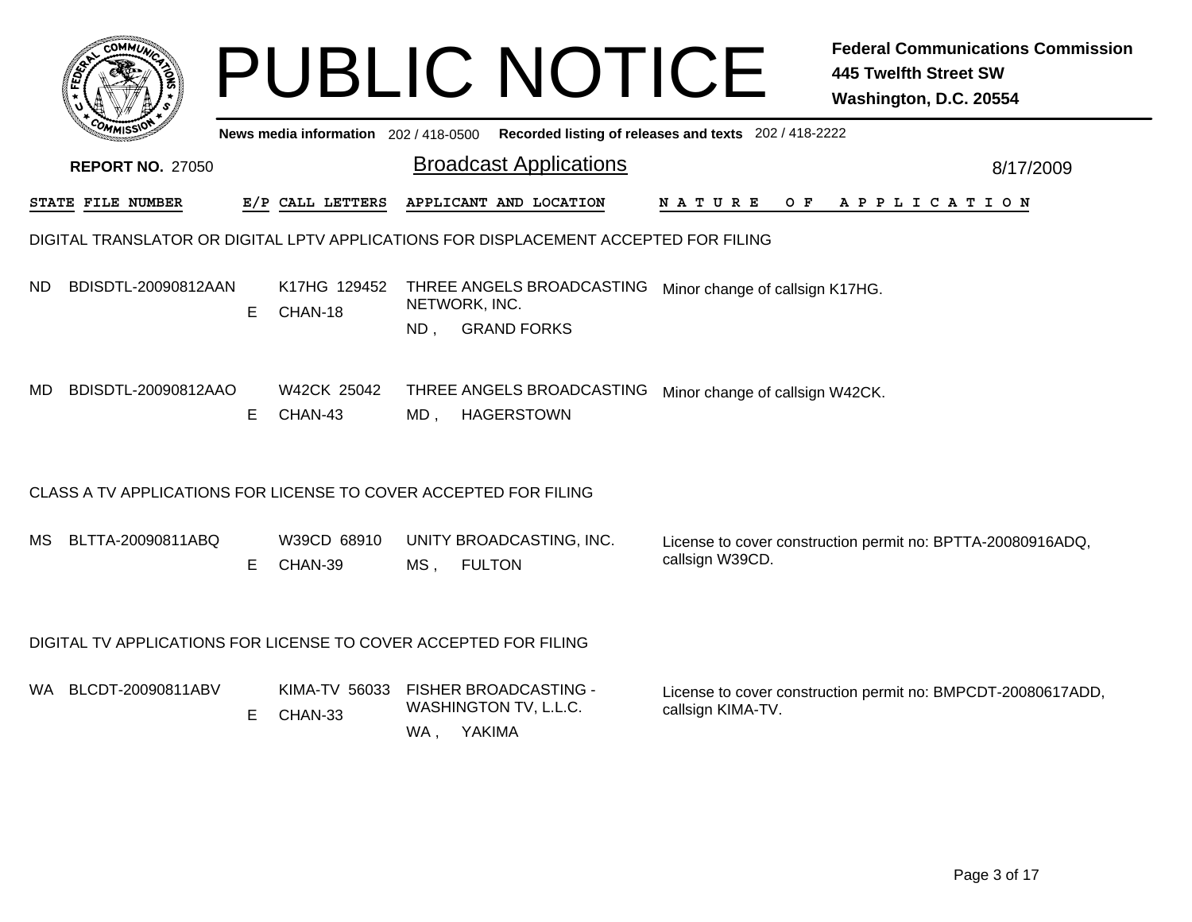|     | <b>COMMI</b>                                                                         |    |                                                |                      | <b>PUBLIC NOTICE</b>                            |                                                       | <b>Federal Communications Commission</b><br><b>445 Twelfth Street SW</b><br>Washington, D.C. 20554 |
|-----|--------------------------------------------------------------------------------------|----|------------------------------------------------|----------------------|-------------------------------------------------|-------------------------------------------------------|----------------------------------------------------------------------------------------------------|
|     |                                                                                      |    | News media information 202 / 418-0500          |                      |                                                 | Recorded listing of releases and texts 202 / 418-2222 |                                                                                                    |
|     | <b>REPORT NO. 27050</b>                                                              |    |                                                |                      | <b>Broadcast Applications</b>                   |                                                       | 8/17/2009                                                                                          |
|     | STATE FILE NUMBER                                                                    |    | E/P CALL LETTERS                               |                      | APPLICANT AND LOCATION                          | <b>NATURE</b>                                         | OF APPLICATION                                                                                     |
|     | DIGITAL TRANSLATOR OR DIGITAL LPTV APPLICATIONS FOR DISPLACEMENT ACCEPTED FOR FILING |    |                                                |                      |                                                 |                                                       |                                                                                                    |
| ND. | BDISDTL-20090812AAN                                                                  | E. | K17HG 129452<br>CHAN-18                        | NETWORK, INC.<br>ND, | THREE ANGELS BROADCASTING<br><b>GRAND FORKS</b> | Minor change of callsign K17HG.                       |                                                                                                    |
| MD  | BDISDTL-20090812AAO                                                                  | E. | W42CK 25042<br>CHAN-43                         |                      | THREE ANGELS BROADCASTING<br>MD, HAGERSTOWN     | Minor change of callsign W42CK.                       |                                                                                                    |
|     | CLASS A TV APPLICATIONS FOR LICENSE TO COVER ACCEPTED FOR FILING                     |    |                                                |                      |                                                 |                                                       |                                                                                                    |
| MS. | BLTTA-20090811ABQ                                                                    | E. | W39CD 68910<br>CHAN-39                         | MS, FULTON           | UNITY BROADCASTING, INC.                        | callsign W39CD.                                       | License to cover construction permit no: BPTTA-20080916ADQ,                                        |
|     | DIGITAL TV APPLICATIONS FOR LICENSE TO COVER ACCEPTED FOR FILING                     |    |                                                |                      |                                                 |                                                       |                                                                                                    |
|     | WA BLCDT-20090811ABV                                                                 | E. | KIMA-TV 56033 FISHER BROADCASTING -<br>CHAN-33 | WA, YAKIMA           | WASHINGTON TV, L.L.C.                           | callsign KIMA-TV.                                     | License to cover construction permit no: BMPCDT-20080617ADD,                                       |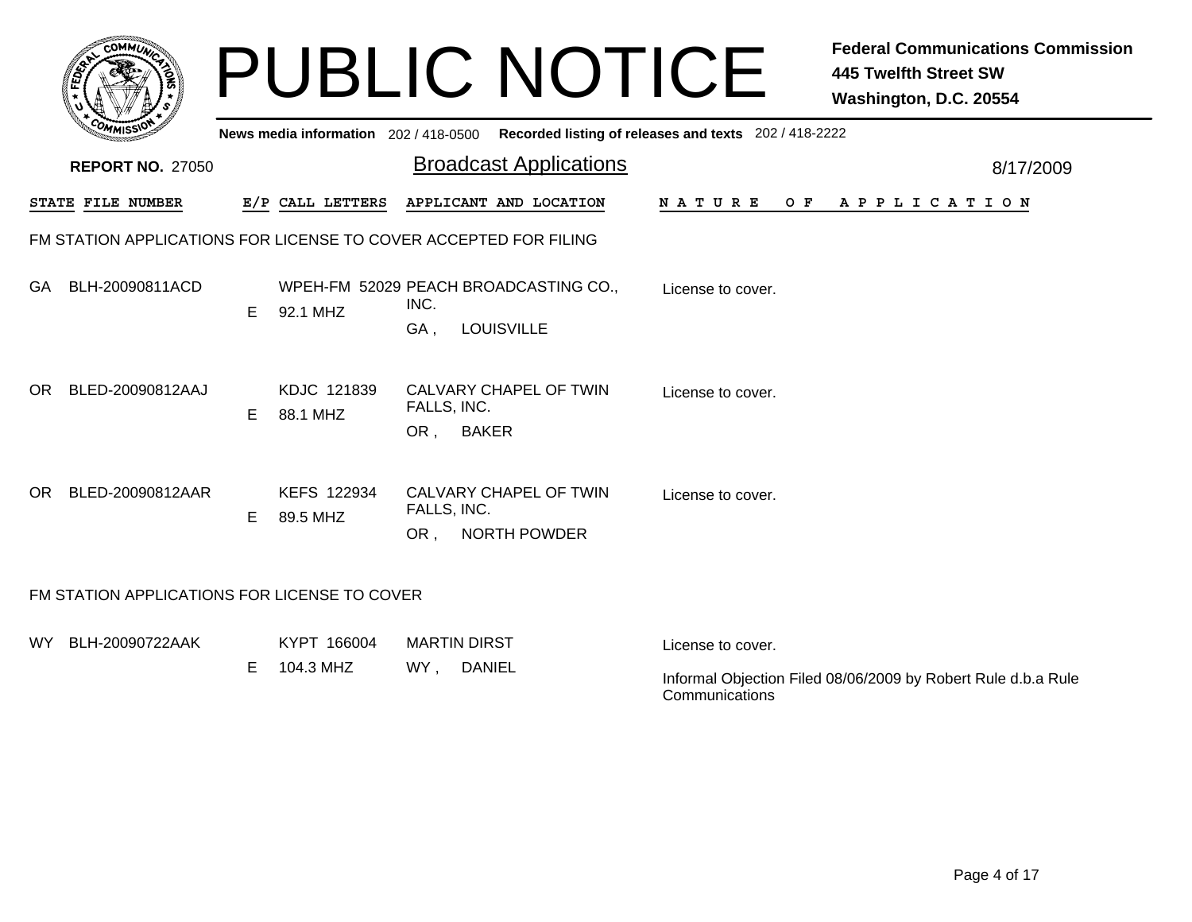|      | <b>COMMUN</b>                                |    |                                     | <b>PUBLIC NOTICE</b>                                                      |                                                       | <b>Federal Communications Commission</b><br><b>445 Twelfth Street SW</b><br>Washington, D.C. 20554 |
|------|----------------------------------------------|----|-------------------------------------|---------------------------------------------------------------------------|-------------------------------------------------------|----------------------------------------------------------------------------------------------------|
|      |                                              |    | News media information 202/418-0500 |                                                                           | Recorded listing of releases and texts 202 / 418-2222 |                                                                                                    |
|      | <b>REPORT NO. 27050</b>                      |    |                                     | <b>Broadcast Applications</b>                                             |                                                       | 8/17/2009                                                                                          |
|      | STATE FILE NUMBER                            |    | E/P CALL LETTERS                    | APPLICANT AND LOCATION                                                    | <b>NATURE</b><br>OF.                                  | A P P L I C A T I O N                                                                              |
|      |                                              |    |                                     | FM STATION APPLICATIONS FOR LICENSE TO COVER ACCEPTED FOR FILING          |                                                       |                                                                                                    |
| GA.  | BLH-20090811ACD                              | E. | 92.1 MHZ                            | WPEH-FM 52029 PEACH BROADCASTING CO.,<br>INC.<br>GA,<br><b>LOUISVILLE</b> | License to cover.                                     |                                                                                                    |
| OR.  | BLED-20090812AAJ                             | E. | KDJC 121839<br>88.1 MHZ             | CALVARY CHAPEL OF TWIN<br>FALLS, INC.<br><b>BAKER</b><br>OR ,             | License to cover.                                     |                                                                                                    |
|      | OR BLED-20090812AAR                          | E. | KEFS 122934<br>89.5 MHZ             | CALVARY CHAPEL OF TWIN<br>FALLS, INC.<br>OR, NORTH POWDER                 | License to cover.                                     |                                                                                                    |
|      | FM STATION APPLICATIONS FOR LICENSE TO COVER |    |                                     |                                                                           |                                                       |                                                                                                    |
| WY l | BLH-20090722AAK                              | E. | KYPT 166004<br>104.3 MHZ            | <b>MARTIN DIRST</b><br>WY, DANIEL                                         | License to cover.<br>Communications                   | Informal Objection Filed 08/06/2009 by Robert Rule d.b.a Rule                                      |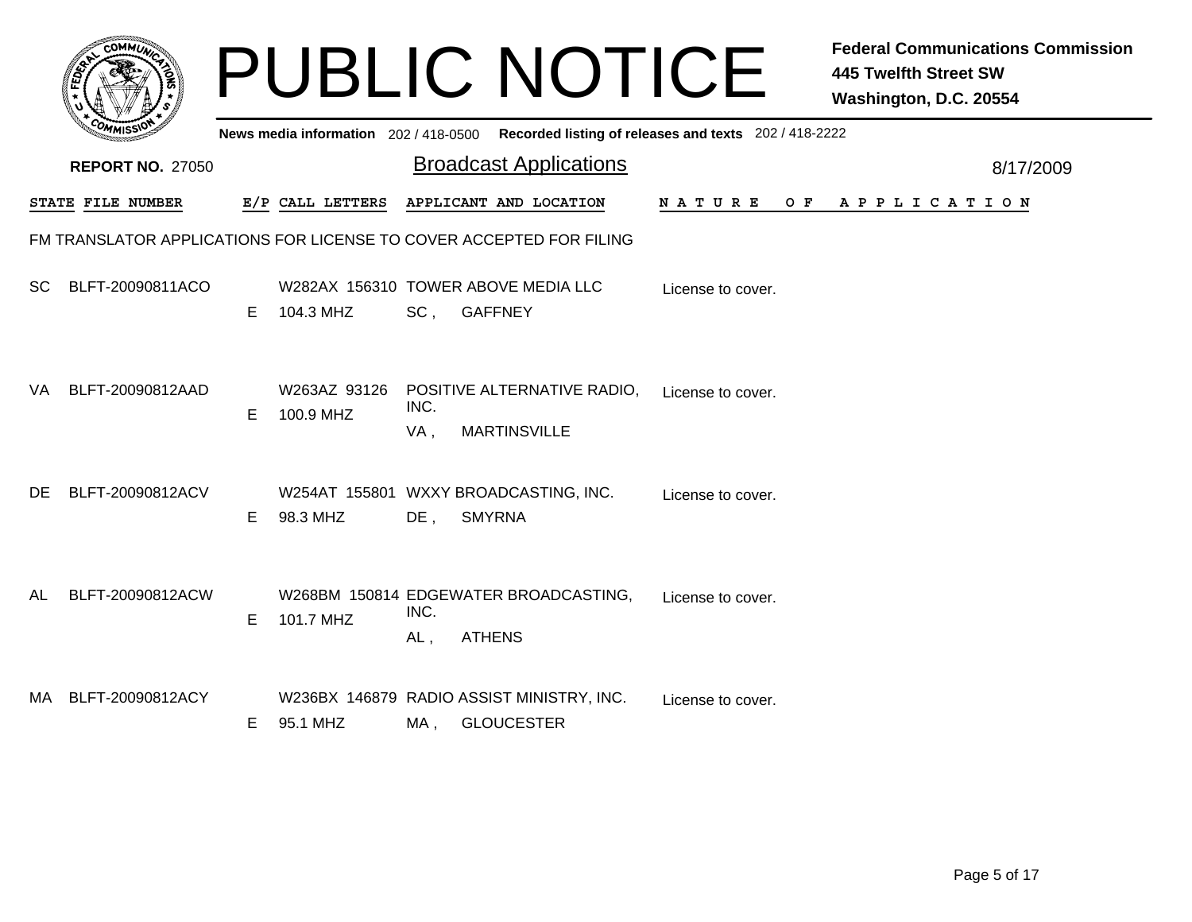|           | <b>COMMUL</b>           |    |                           |             | <b>PUBLIC NOTICE</b>                                                                    |                   | <b>Federal Communications Commission</b><br><b>445 Twelfth Street SW</b><br>Washington, D.C. 20554 |
|-----------|-------------------------|----|---------------------------|-------------|-----------------------------------------------------------------------------------------|-------------------|----------------------------------------------------------------------------------------------------|
|           |                         |    |                           |             | News media information 202/418-0500 Recorded listing of releases and texts 202/418-2222 |                   |                                                                                                    |
|           | <b>REPORT NO. 27050</b> |    |                           |             | <b>Broadcast Applications</b>                                                           |                   | 8/17/2009                                                                                          |
|           | STATE FILE NUMBER       |    | E/P CALL LETTERS          |             | APPLICANT AND LOCATION                                                                  |                   | NATURE OF APPLICATION                                                                              |
|           |                         |    |                           |             | FM TRANSLATOR APPLICATIONS FOR LICENSE TO COVER ACCEPTED FOR FILING                     |                   |                                                                                                    |
| <b>SC</b> | BLFT-20090811ACO        | E. | 104.3 MHZ                 | SC,         | W282AX 156310 TOWER ABOVE MEDIA LLC<br><b>GAFFNEY</b>                                   | License to cover. |                                                                                                    |
| VA.       | BLFT-20090812AAD        | E. | W263AZ 93126<br>100.9 MHZ | INC.<br>VA, | POSITIVE ALTERNATIVE RADIO,<br><b>MARTINSVILLE</b>                                      | License to cover. |                                                                                                    |
| DE.       | BLFT-20090812ACV        | E. | 98.3 MHZ                  | $DE$ ,      | W254AT 155801 WXXY BROADCASTING, INC.<br><b>SMYRNA</b>                                  | License to cover. |                                                                                                    |
| AL        | BLFT-20090812ACW        | E. | 101.7 MHZ                 | INC.<br>AL, | W268BM 150814 EDGEWATER BROADCASTING,<br><b>ATHENS</b>                                  | License to cover. |                                                                                                    |
|           | MA BLFT-20090812ACY     | E. | 95.1 MHZ                  | MA,         | W236BX 146879 RADIO ASSIST MINISTRY, INC.<br><b>GLOUCESTER</b>                          | License to cover. |                                                                                                    |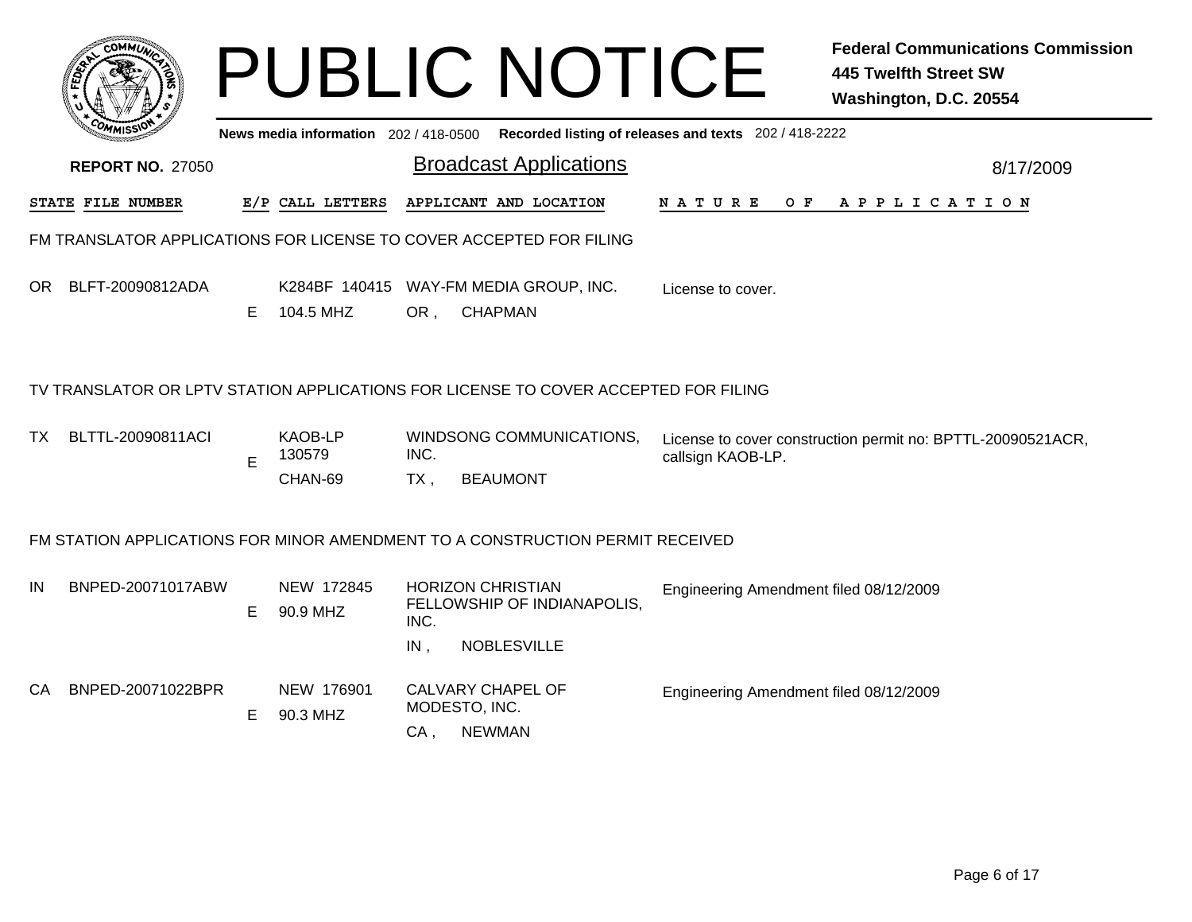|     |                          |   |                                     |                  | <b>PUBLIC NOTICE</b>                                                                        |                                        | <b>Federal Communications Commission</b><br><b>445 Twelfth Street SW</b><br>Washington, D.C. 20554 |  |
|-----|--------------------------|---|-------------------------------------|------------------|---------------------------------------------------------------------------------------------|----------------------------------------|----------------------------------------------------------------------------------------------------|--|
|     |                          |   |                                     |                  | News media information 202 / 418-0500 Recorded listing of releases and texts 202 / 418-2222 |                                        |                                                                                                    |  |
|     | <b>REPORT NO. 27050</b>  |   |                                     |                  | <b>Broadcast Applications</b>                                                               |                                        | 8/17/2009                                                                                          |  |
|     | <b>STATE FILE NUMBER</b> |   | E/P CALL LETTERS                    |                  | APPLICANT AND LOCATION                                                                      | NATURE                                 | OF APPLICATION                                                                                     |  |
|     |                          |   |                                     |                  | FM TRANSLATOR APPLICATIONS FOR LICENSE TO COVER ACCEPTED FOR FILING                         |                                        |                                                                                                    |  |
| OR  | BLFT-20090812ADA         | E | 104.5 MHZ                           | OR,              | K284BF 140415 WAY-FM MEDIA GROUP, INC.<br><b>CHAPMAN</b>                                    | License to cover.                      |                                                                                                    |  |
|     |                          |   |                                     |                  | TV TRANSLATOR OR LPTV STATION APPLICATIONS FOR LICENSE TO COVER ACCEPTED FOR FILING         |                                        |                                                                                                    |  |
| TX  | BLTTL-20090811ACI        | E | <b>KAOB-LP</b><br>130579<br>CHAN-69 | INC.<br>TX,      | WINDSONG COMMUNICATIONS,<br><b>BEAUMONT</b>                                                 | callsign KAOB-LP.                      | License to cover construction permit no: BPTTL-20090521ACR,                                        |  |
|     |                          |   |                                     |                  | FM STATION APPLICATIONS FOR MINOR AMENDMENT TO A CONSTRUCTION PERMIT RECEIVED               |                                        |                                                                                                    |  |
| IN  | BNPED-20071017ABW        | Е | NEW 172845<br>90.9 MHZ              | INC.             | <b>HORIZON CHRISTIAN</b><br>FELLOWSHIP OF INDIANAPOLIS,                                     | Engineering Amendment filed 08/12/2009 |                                                                                                    |  |
| CA. | BNPED-20071022BPR        | E | NEW 176901<br>90.3 MHZ              | $IN$ ,<br>$CA$ . | <b>NOBLESVILLE</b><br><b>CALVARY CHAPEL OF</b><br>MODESTO, INC.<br><b>NEWMAN</b>            | Engineering Amendment filed 08/12/2009 |                                                                                                    |  |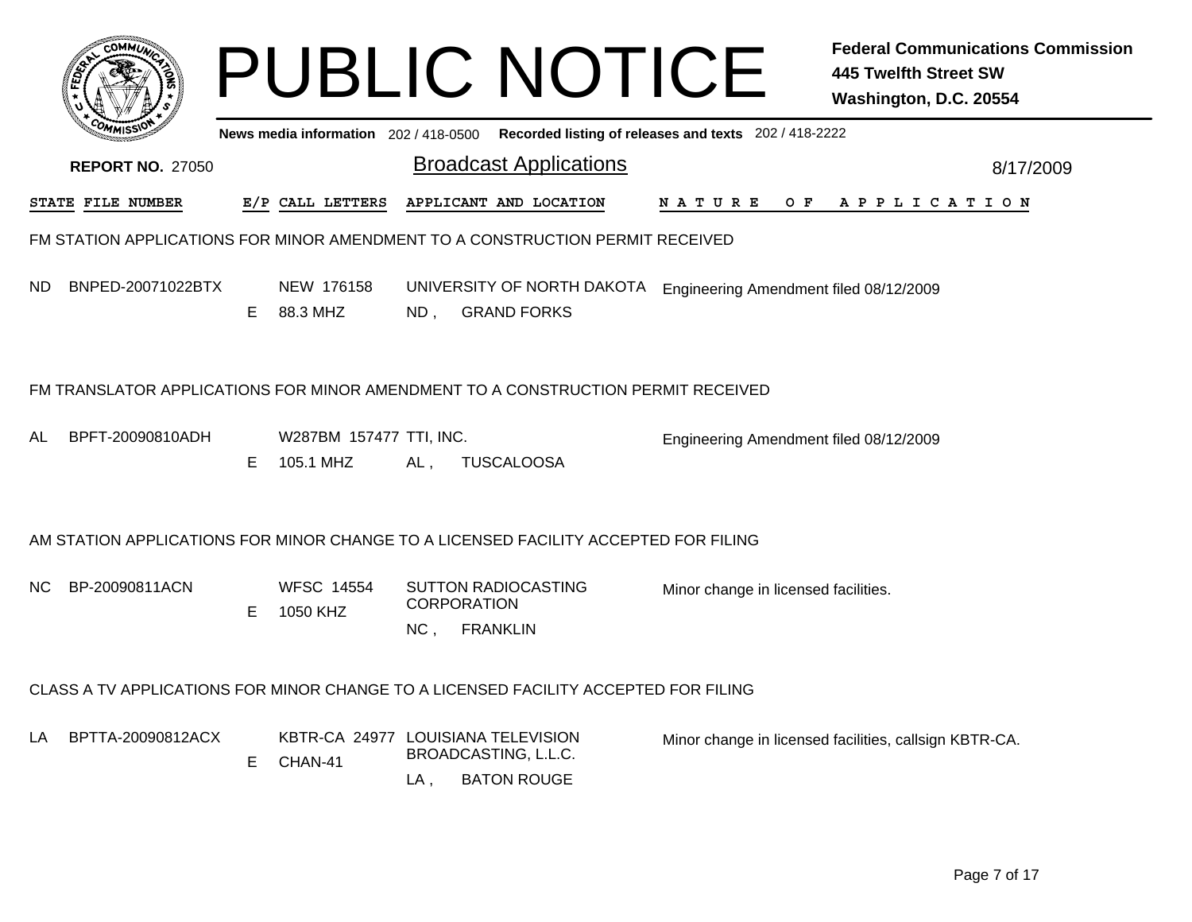|     |                         |    |                                               |                           | <b>PUBLIC NOTICE</b>                                                                |                                                       | <b>Federal Communications Commission</b><br><b>445 Twelfth Street SW</b><br>Washington, D.C. 20554 |
|-----|-------------------------|----|-----------------------------------------------|---------------------------|-------------------------------------------------------------------------------------|-------------------------------------------------------|----------------------------------------------------------------------------------------------------|
|     |                         |    | News media information 202/418-0500           |                           |                                                                                     | Recorded listing of releases and texts 202 / 418-2222 |                                                                                                    |
|     | <b>REPORT NO. 27050</b> |    |                                               |                           | <b>Broadcast Applications</b>                                                       |                                                       | 8/17/2009                                                                                          |
|     | STATE FILE NUMBER       |    | E/P CALL LETTERS                              |                           | APPLICANT AND LOCATION                                                              | N A T U R E<br>O F                                    | A P P L I C A T I O N                                                                              |
|     |                         |    |                                               |                           | FM STATION APPLICATIONS FOR MINOR AMENDMENT TO A CONSTRUCTION PERMIT RECEIVED       |                                                       |                                                                                                    |
| ND. | BNPED-20071022BTX       | E. | NEW 176158<br>88.3 MHZ                        | ND,                       | UNIVERSITY OF NORTH DAKOTA<br><b>GRAND FORKS</b>                                    | Engineering Amendment filed 08/12/2009                |                                                                                                    |
|     |                         |    |                                               |                           | FM TRANSLATOR APPLICATIONS FOR MINOR AMENDMENT TO A CONSTRUCTION PERMIT RECEIVED    |                                                       |                                                                                                    |
| AL  | BPFT-20090810ADH        | E  | W287BM 157477 TTI, INC.<br>105.1 MHZ          | AL.                       | <b>TUSCALOOSA</b>                                                                   | Engineering Amendment filed 08/12/2009                |                                                                                                    |
|     |                         |    |                                               |                           | AM STATION APPLICATIONS FOR MINOR CHANGE TO A LICENSED FACILITY ACCEPTED FOR FILING |                                                       |                                                                                                    |
| NC. | BP-20090811ACN          | E  | <b>WFSC 14554</b><br>1050 KHZ                 | <b>CORPORATION</b><br>NC, | <b>SUTTON RADIOCASTING</b><br><b>FRANKLIN</b>                                       | Minor change in licensed facilities.                  |                                                                                                    |
|     |                         |    |                                               |                           | CLASS A TV APPLICATIONS FOR MINOR CHANGE TO A LICENSED FACILITY ACCEPTED FOR FILING |                                                       |                                                                                                    |
| LA  | BPTTA-20090812ACX       | E. | KBTR-CA 24977 LOUISIANA TELEVISION<br>CHAN-41 | LA .                      | BROADCASTING, L.L.C.<br><b>BATON ROUGE</b>                                          |                                                       | Minor change in licensed facilities, callsign KBTR-CA.                                             |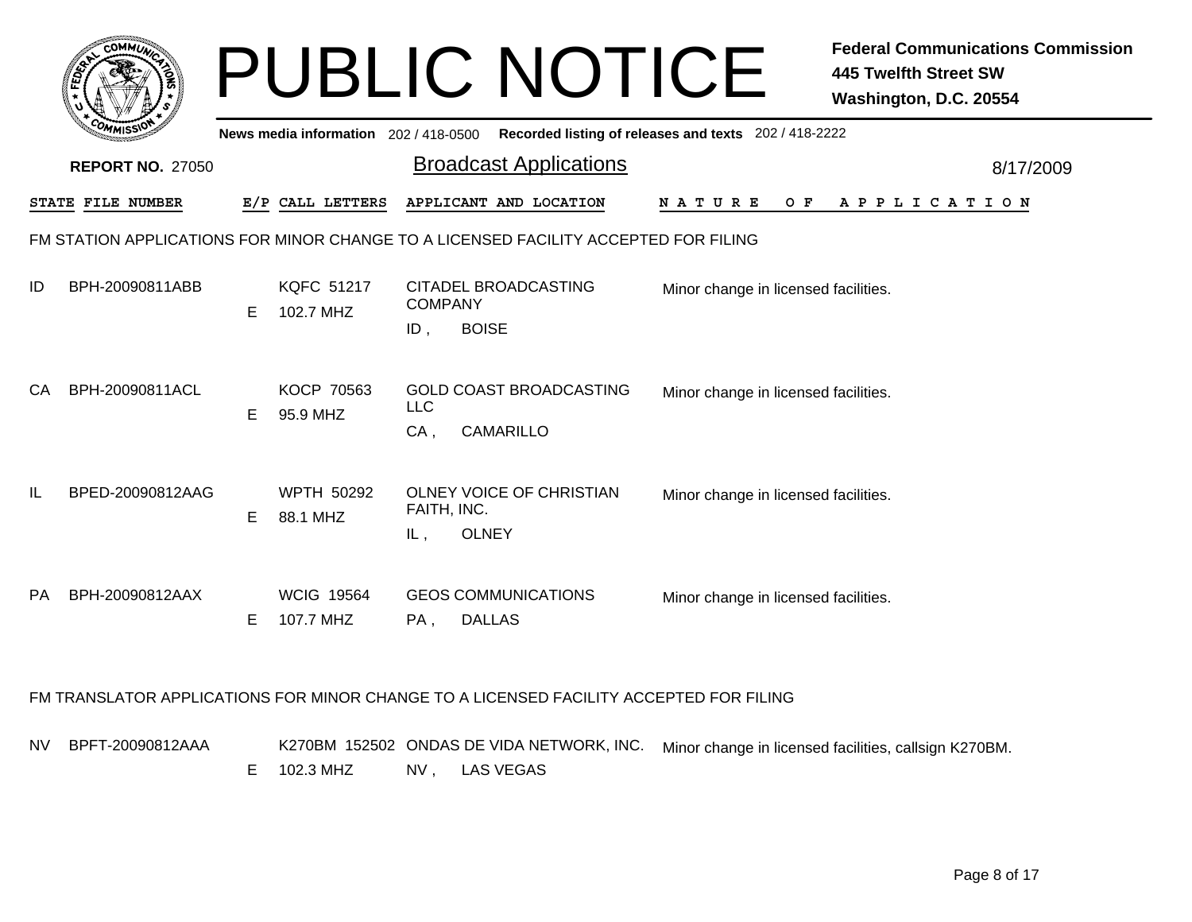|    | COMMUL                  |    |                                       | <b>PUBLIC NOTICE</b>                                                                |                                                       | <b>Federal Communications Commission</b><br><b>445 Twelfth Street SW</b><br>Washington, D.C. 20554 |
|----|-------------------------|----|---------------------------------------|-------------------------------------------------------------------------------------|-------------------------------------------------------|----------------------------------------------------------------------------------------------------|
|    |                         |    | News media information 202 / 418-0500 |                                                                                     | Recorded listing of releases and texts 202 / 418-2222 |                                                                                                    |
|    | <b>REPORT NO. 27050</b> |    |                                       | <b>Broadcast Applications</b>                                                       |                                                       | 8/17/2009                                                                                          |
|    | STATE FILE NUMBER       |    | E/P CALL LETTERS                      | APPLICANT AND LOCATION                                                              | N A T U R E<br>O F                                    | A P P L I C A T I O N                                                                              |
|    |                         |    |                                       | FM STATION APPLICATIONS FOR MINOR CHANGE TO A LICENSED FACILITY ACCEPTED FOR FILING |                                                       |                                                                                                    |
| ID | BPH-20090811ABB         | E. | <b>KQFC 51217</b><br>102.7 MHZ        | <b>CITADEL BROADCASTING</b><br><b>COMPANY</b><br><b>BOISE</b><br>$ID$ ,             | Minor change in licensed facilities.                  |                                                                                                    |
| CA | BPH-20090811ACL         | E. | <b>KOCP 70563</b><br>95.9 MHZ         | <b>GOLD COAST BROADCASTING</b><br><b>LLC</b><br>$CA$ ,<br>CAMARILLO                 | Minor change in licensed facilities.                  |                                                                                                    |
| IL | BPED-20090812AAG        | E. | WPTH 50292<br>88.1 MHZ                | OLNEY VOICE OF CHRISTIAN<br>FAITH, INC.<br><b>OLNEY</b><br>IL,                      | Minor change in licensed facilities.                  |                                                                                                    |
| PA | BPH-20090812AAX         | Е  | <b>WCIG 19564</b><br>107.7 MHZ        | <b>GEOS COMMUNICATIONS</b><br><b>DALLAS</b><br>PA,                                  | Minor change in licensed facilities.                  |                                                                                                    |

#### FM TRANSLATOR APPLICATIONS FOR MINOR CHANGE TO A LICENSED FACILITY ACCEPTED FOR FILING

NVBPFT-20090812AAA V BPFT-20090812AAA K270BM 152502 ONDAS DE VIDA NETWORK, INC. Minor change in licensed facilities, callsign K270BM. NV , LAS VEGAS E 102.3 MHZ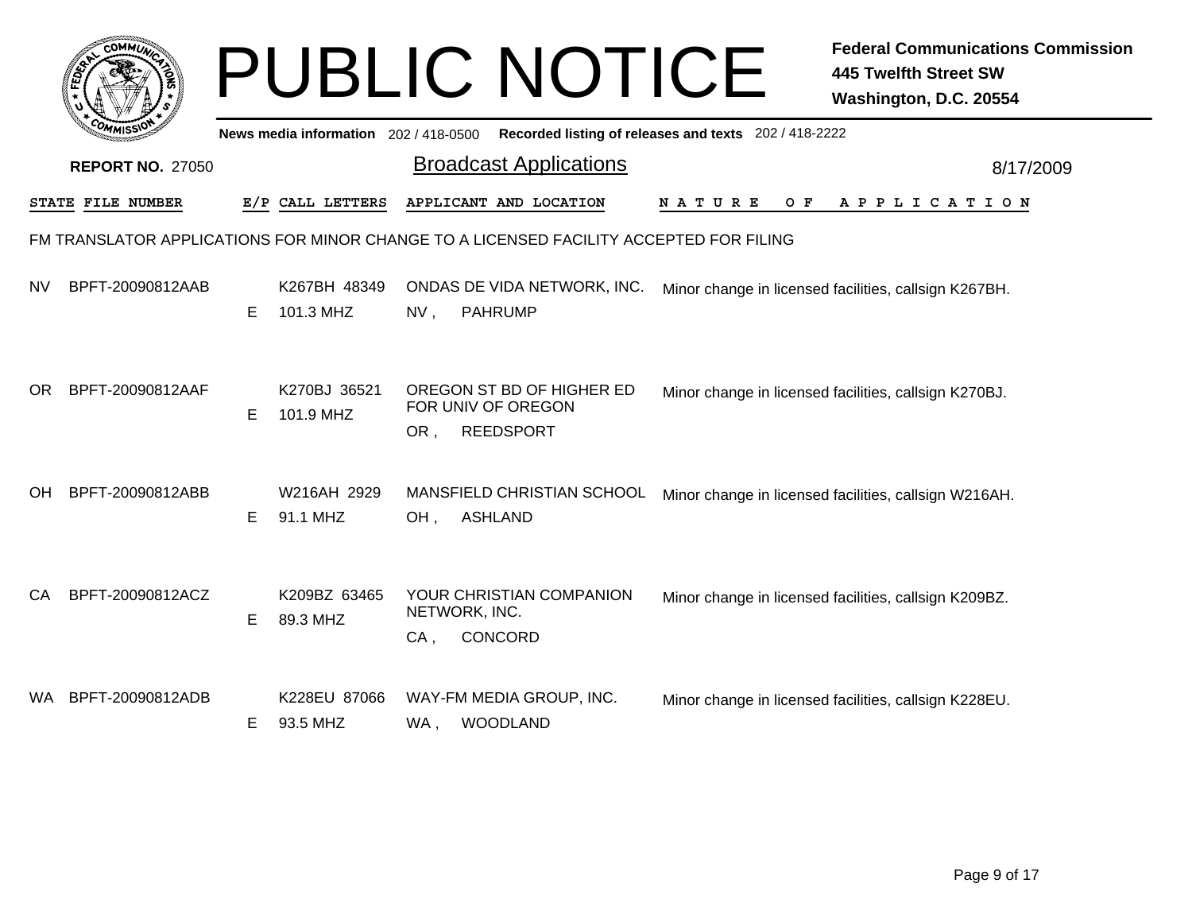|     | <b>COMMU</b>            |    |                                       |        | <b>PUBLIC NOTICE</b>                                                                   |                                                       | <b>Federal Communications Commission</b><br><b>445 Twelfth Street SW</b><br>Washington, D.C. 20554 |
|-----|-------------------------|----|---------------------------------------|--------|----------------------------------------------------------------------------------------|-------------------------------------------------------|----------------------------------------------------------------------------------------------------|
|     |                         |    | News media information 202 / 418-0500 |        |                                                                                        | Recorded listing of releases and texts 202 / 418-2222 |                                                                                                    |
|     | <b>REPORT NO. 27050</b> |    |                                       |        | <b>Broadcast Applications</b>                                                          |                                                       | 8/17/2009                                                                                          |
|     | STATE FILE NUMBER       |    | E/P CALL LETTERS                      |        | APPLICANT AND LOCATION                                                                 | O F<br>N A T U R E                                    | A P P L I C A T I O N                                                                              |
|     |                         |    |                                       |        | FM TRANSLATOR APPLICATIONS FOR MINOR CHANGE TO A LICENSED FACILITY ACCEPTED FOR FILING |                                                       |                                                                                                    |
| NV. | BPFT-20090812AAB        | E. | K267BH 48349<br>101.3 MHZ             | $NV$ , | ONDAS DE VIDA NETWORK, INC.<br><b>PAHRUMP</b>                                          |                                                       | Minor change in licensed facilities, callsign K267BH.                                              |
| OR. | BPFT-20090812AAF        | E  | K270BJ 36521<br>101.9 MHZ             | OR,    | OREGON ST BD OF HIGHER ED<br>FOR UNIV OF OREGON<br><b>REEDSPORT</b>                    |                                                       | Minor change in licensed facilities, callsign K270BJ.                                              |
| OH. | BPFT-20090812ABB        | E. | W216AH 2929<br>91.1 MHZ               | OH,    | MANSFIELD CHRISTIAN SCHOOL<br><b>ASHLAND</b>                                           |                                                       | Minor change in licensed facilities, callsign W216AH.                                              |
| CA  | BPFT-20090812ACZ        | E  | K209BZ 63465<br>89.3 MHZ              | CA,    | YOUR CHRISTIAN COMPANION<br>NETWORK, INC.<br>CONCORD                                   |                                                       | Minor change in licensed facilities, callsign K209BZ.                                              |
|     | WA BPFT-20090812ADB     | E. | K228EU 87066<br>93.5 MHZ              | WA,    | WAY-FM MEDIA GROUP, INC.<br><b>WOODLAND</b>                                            |                                                       | Minor change in licensed facilities, callsign K228EU.                                              |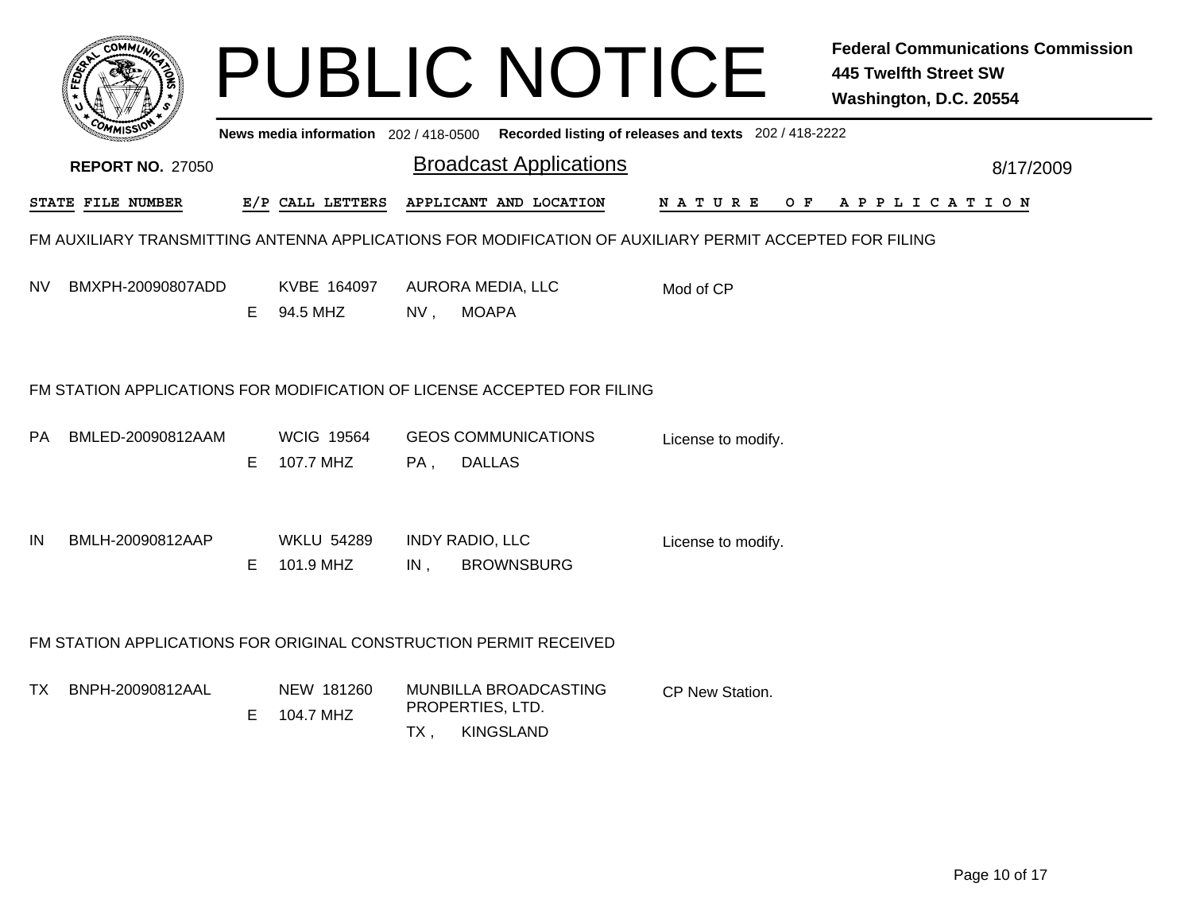|     |                                                                   |    |                                     |        | <b>PUBLIC NOTICE</b>                                                                                    |                                                       | <b>Federal Communications Commission</b><br><b>445 Twelfth Street SW</b><br>Washington, D.C. 20554 |
|-----|-------------------------------------------------------------------|----|-------------------------------------|--------|---------------------------------------------------------------------------------------------------------|-------------------------------------------------------|----------------------------------------------------------------------------------------------------|
|     |                                                                   |    | News media information 202/418-0500 |        |                                                                                                         | Recorded listing of releases and texts 202 / 418-2222 |                                                                                                    |
|     | <b>REPORT NO. 27050</b>                                           |    |                                     |        | <b>Broadcast Applications</b>                                                                           |                                                       | 8/17/2009                                                                                          |
|     | STATE FILE NUMBER                                                 |    | E/P CALL LETTERS                    |        | APPLICANT AND LOCATION                                                                                  | O F<br>N A T U R E                                    | A P P L I C A T I O N                                                                              |
|     |                                                                   |    |                                     |        | FM AUXILIARY TRANSMITTING ANTENNA APPLICATIONS FOR MODIFICATION OF AUXILIARY PERMIT ACCEPTED FOR FILING |                                                       |                                                                                                    |
| NV. | BMXPH-20090807ADD                                                 | E. | KVBE 164097<br>94.5 MHZ             |        | AURORA MEDIA, LLC<br>NV, MOAPA                                                                          | Mod of CP                                             |                                                                                                    |
|     |                                                                   |    |                                     |        | FM STATION APPLICATIONS FOR MODIFICATION OF LICENSE ACCEPTED FOR FILING                                 |                                                       |                                                                                                    |
| PA  | BMLED-20090812AAM                                                 | E. | <b>WCIG 19564</b><br>107.7 MHZ      | PA,    | <b>GEOS COMMUNICATIONS</b><br><b>DALLAS</b>                                                             | License to modify.                                    |                                                                                                    |
| IN  | BMLH-20090812AAP                                                  | E. | <b>WKLU 54289</b><br>101.9 MHZ      | $IN$ , | <b>INDY RADIO, LLC</b><br><b>BROWNSBURG</b>                                                             | License to modify.                                    |                                                                                                    |
|     | FM STATION APPLICATIONS FOR ORIGINAL CONSTRUCTION PERMIT RECEIVED |    |                                     |        |                                                                                                         |                                                       |                                                                                                    |
| TX  | BNPH-20090812AAL                                                  | E  | NEW 181260<br>104.7 MHZ             | TX,    | MUNBILLA BROADCASTING<br>PROPERTIES, LTD.<br><b>KINGSLAND</b>                                           | CP New Station.                                       |                                                                                                    |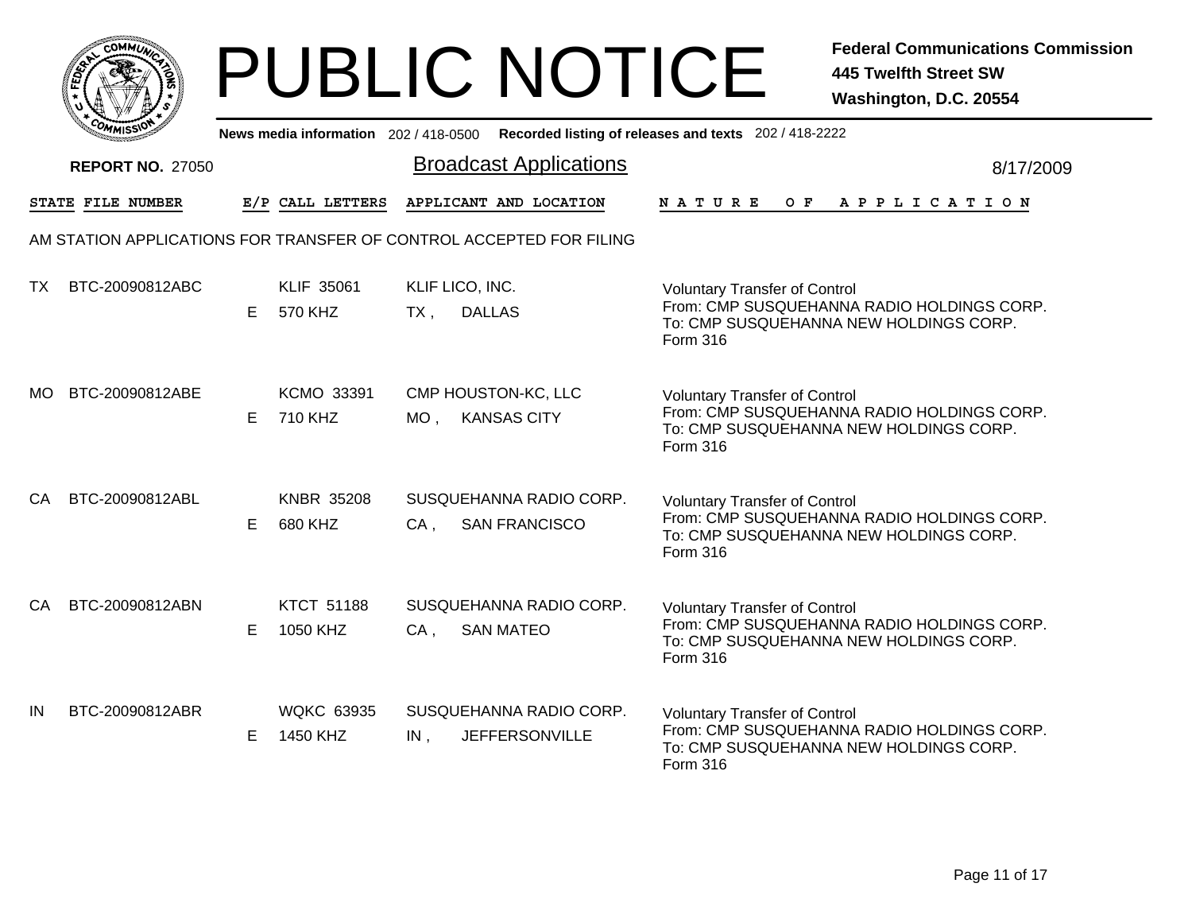| <b>MMUNA</b><br>r.Ol<br>¢ |  |
|---------------------------|--|
| FEDET                     |  |
| ũ                         |  |
| $c_{O}$<br>YMISS          |  |
|                           |  |

|     | יככווויי                |    |                               |                        | News media information 202/418-0500 Recorded listing of releases and texts 202/418-2222 |               |                                                                                                                              |  |     |  |  |                       |  |           |
|-----|-------------------------|----|-------------------------------|------------------------|-----------------------------------------------------------------------------------------|---------------|------------------------------------------------------------------------------------------------------------------------------|--|-----|--|--|-----------------------|--|-----------|
|     | <b>REPORT NO. 27050</b> |    |                               |                        | <b>Broadcast Applications</b>                                                           |               |                                                                                                                              |  |     |  |  |                       |  | 8/17/2009 |
|     | STATE FILE NUMBER       |    | E/P CALL LETTERS              |                        | APPLICANT AND LOCATION                                                                  | <b>NATURE</b> |                                                                                                                              |  | O F |  |  | A P P L I C A T I O N |  |           |
|     |                         |    |                               |                        | AM STATION APPLICATIONS FOR TRANSFER OF CONTROL ACCEPTED FOR FILING                     |               |                                                                                                                              |  |     |  |  |                       |  |           |
| TX. | BTC-20090812ABC         | E. | <b>KLIF 35061</b><br>570 KHZ  | KLIF LICO, INC.<br>TX, | <b>DALLAS</b>                                                                           | Form 316      | <b>Voluntary Transfer of Control</b><br>From: CMP SUSQUEHANNA RADIO HOLDINGS CORP.<br>To: CMP SUSQUEHANNA NEW HOLDINGS CORP. |  |     |  |  |                       |  |           |
| MO. | BTC-20090812ABE         | E. | <b>KCMO 33391</b><br>710 KHZ  | $MO$ ,                 | CMP HOUSTON-KC, LLC<br><b>KANSAS CITY</b>                                               | Form 316      | <b>Voluntary Transfer of Control</b><br>From: CMP SUSQUEHANNA RADIO HOLDINGS CORP.<br>To: CMP SUSQUEHANNA NEW HOLDINGS CORP. |  |     |  |  |                       |  |           |
| CA. | BTC-20090812ABL         | E. | <b>KNBR 35208</b><br>680 KHZ  | $CA$ ,                 | SUSQUEHANNA RADIO CORP.<br><b>SAN FRANCISCO</b>                                         | Form 316      | <b>Voluntary Transfer of Control</b><br>From: CMP SUSQUEHANNA RADIO HOLDINGS CORP.<br>To: CMP SUSQUEHANNA NEW HOLDINGS CORP. |  |     |  |  |                       |  |           |
| CA. | BTC-20090812ABN         | E. | <b>KTCT 51188</b><br>1050 KHZ | $CA$ ,                 | SUSQUEHANNA RADIO CORP.<br><b>SAN MATEO</b>                                             | Form 316      | <b>Voluntary Transfer of Control</b><br>From: CMP SUSQUEHANNA RADIO HOLDINGS CORP.<br>To: CMP SUSQUEHANNA NEW HOLDINGS CORP. |  |     |  |  |                       |  |           |
| IN  | BTC-20090812ABR         | E  | <b>WQKC 63935</b><br>1450 KHZ | $IN$ ,                 | SUSQUEHANNA RADIO CORP.<br><b>JEFFERSONVILLE</b>                                        | Form 316      | <b>Voluntary Transfer of Control</b><br>From: CMP SUSQUEHANNA RADIO HOLDINGS CORP.<br>To: CMP SUSQUEHANNA NEW HOLDINGS CORP. |  |     |  |  |                       |  |           |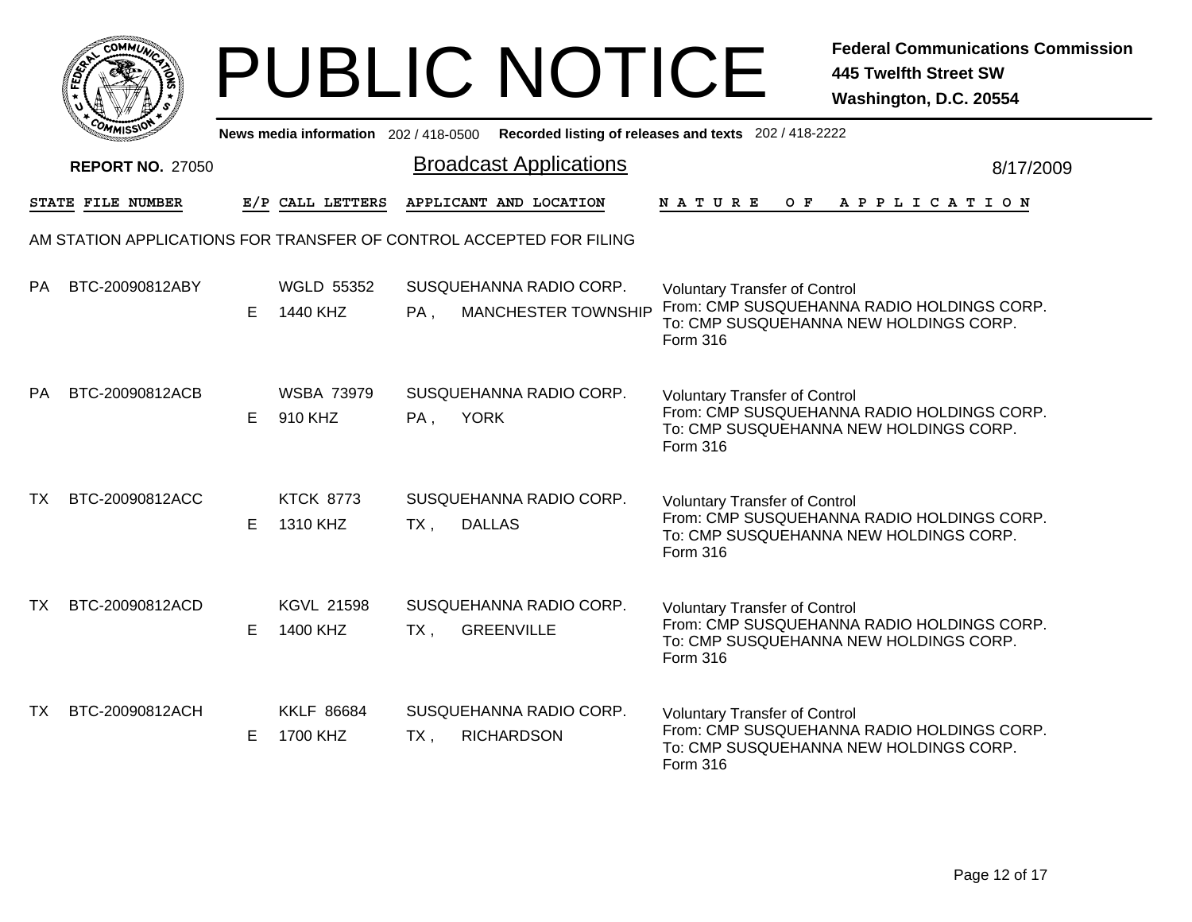| <b>MMUNT</b><br>c۵۱<br>¢.                    |  |
|----------------------------------------------|--|
| c<br>FEDET                                   |  |
| ū                                            |  |
| $c_{O_{\textit{M}}},$<br>MISS'<br>,,,,,,,,,, |  |

|           | יככון איזיי             |    |                               |                               | News media information 202/418-0500 Recorded listing of releases and texts 202/418-2222 |                                                                                                                                                 |  |  |  |         |  |  |           |                       |  |  |
|-----------|-------------------------|----|-------------------------------|-------------------------------|-----------------------------------------------------------------------------------------|-------------------------------------------------------------------------------------------------------------------------------------------------|--|--|--|---------|--|--|-----------|-----------------------|--|--|
|           | <b>REPORT NO. 27050</b> |    |                               | <b>Broadcast Applications</b> |                                                                                         |                                                                                                                                                 |  |  |  |         |  |  | 8/17/2009 |                       |  |  |
|           | STATE FILE NUMBER       |    | E/P CALL LETTERS              |                               | APPLICANT AND LOCATION                                                                  | <b>NATURE</b>                                                                                                                                   |  |  |  | $O$ $F$ |  |  |           | A P P L I C A T I O N |  |  |
|           |                         |    |                               |                               | AM STATION APPLICATIONS FOR TRANSFER OF CONTROL ACCEPTED FOR FILING                     |                                                                                                                                                 |  |  |  |         |  |  |           |                       |  |  |
| PA.       | BTC-20090812ABY         | E. | <b>WGLD 55352</b><br>1440 KHZ | PA,                           | SUSQUEHANNA RADIO CORP.<br>MANCHESTER TOWNSHIP                                          | <b>Voluntary Transfer of Control</b><br>From: CMP SUSQUEHANNA RADIO HOLDINGS CORP.<br>To: CMP SUSQUEHANNA NEW HOLDINGS CORP.<br>Form 316        |  |  |  |         |  |  |           |                       |  |  |
| <b>PA</b> | BTC-20090812ACB         | E. | <b>WSBA 73979</b><br>910 KHZ  | PA,                           | SUSQUEHANNA RADIO CORP.<br><b>YORK</b>                                                  | <b>Voluntary Transfer of Control</b><br>From: CMP SUSQUEHANNA RADIO HOLDINGS CORP.<br>To: CMP SUSQUEHANNA NEW HOLDINGS CORP.<br><b>Form 316</b> |  |  |  |         |  |  |           |                       |  |  |
| <b>TX</b> | BTC-20090812ACC         | E. | <b>KTCK 8773</b><br>1310 KHZ  | $TX$ ,                        | SUSQUEHANNA RADIO CORP.<br><b>DALLAS</b>                                                | <b>Voluntary Transfer of Control</b><br>From: CMP SUSQUEHANNA RADIO HOLDINGS CORP.<br>To: CMP SUSQUEHANNA NEW HOLDINGS CORP.<br>Form 316        |  |  |  |         |  |  |           |                       |  |  |
| TX.       | BTC-20090812ACD         | E. | <b>KGVL 21598</b><br>1400 KHZ | $TX$ ,                        | SUSQUEHANNA RADIO CORP.<br><b>GREENVILLE</b>                                            | <b>Voluntary Transfer of Control</b><br>From: CMP SUSQUEHANNA RADIO HOLDINGS CORP.<br>To: CMP SUSQUEHANNA NEW HOLDINGS CORP.<br>Form 316        |  |  |  |         |  |  |           |                       |  |  |
| TX.       | BTC-20090812ACH         | E. | <b>KKLF 86684</b><br>1700 KHZ | $TX$ ,                        | SUSQUEHANNA RADIO CORP.<br><b>RICHARDSON</b>                                            | <b>Voluntary Transfer of Control</b><br>From: CMP SUSQUEHANNA RADIO HOLDINGS CORP.<br>To: CMP SUSQUEHANNA NEW HOLDINGS CORP.<br>Form 316        |  |  |  |         |  |  |           |                       |  |  |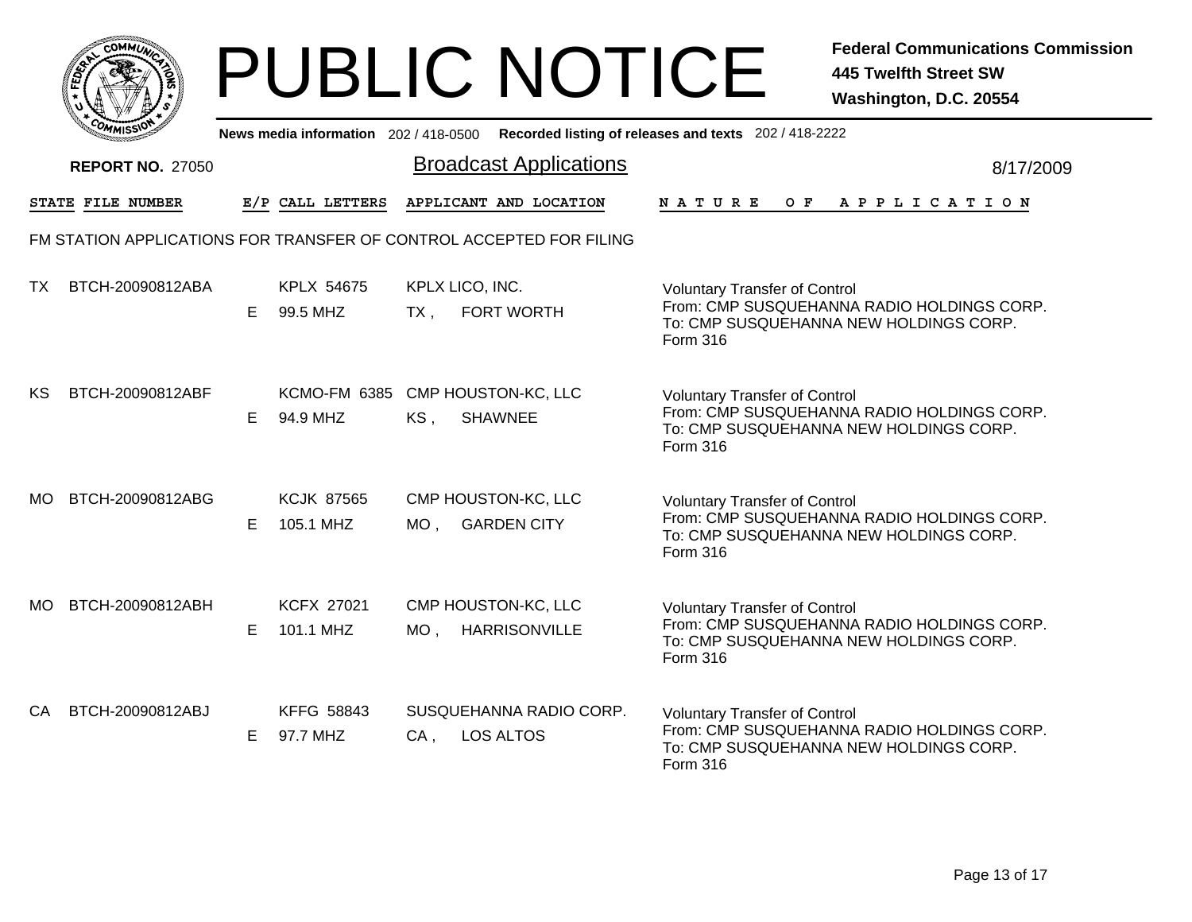|     | MMUNICT<br><b>CO</b> |  |
|-----|----------------------|--|
| ప్త |                      |  |
|     |                      |  |
|     | COMI<br>MISS<br>m    |  |

|     | יככוואויי                                                           |    |                                              |                           | News media information 202/418-0500 Recorded listing of releases and texts 202/418-2222 |                                                                                                                                          |  |     |  |  |                       |  |           |
|-----|---------------------------------------------------------------------|----|----------------------------------------------|---------------------------|-----------------------------------------------------------------------------------------|------------------------------------------------------------------------------------------------------------------------------------------|--|-----|--|--|-----------------------|--|-----------|
|     | <b>REPORT NO. 27050</b>                                             |    |                                              |                           | <b>Broadcast Applications</b>                                                           |                                                                                                                                          |  |     |  |  |                       |  | 8/17/2009 |
|     | STATE FILE NUMBER                                                   |    | E/P CALL LETTERS                             |                           | APPLICANT AND LOCATION                                                                  | NATURE                                                                                                                                   |  | O F |  |  | A P P L I C A T I O N |  |           |
|     | FM STATION APPLICATIONS FOR TRANSFER OF CONTROL ACCEPTED FOR FILING |    |                                              |                           |                                                                                         |                                                                                                                                          |  |     |  |  |                       |  |           |
| TX  | BTCH-20090812ABA                                                    | E. | KPLX 54675<br>99.5 MHZ                       | KPLX LICO, INC.<br>$TX$ , | FORT WORTH                                                                              | <b>Voluntary Transfer of Control</b><br>From: CMP SUSQUEHANNA RADIO HOLDINGS CORP.<br>To: CMP SUSQUEHANNA NEW HOLDINGS CORP.<br>Form 316 |  |     |  |  |                       |  |           |
| KS  | BTCH-20090812ABF                                                    | E. | KCMO-FM 6385 CMP HOUSTON-KC, LLC<br>94.9 MHZ | KS,                       | <b>SHAWNEE</b>                                                                          | <b>Voluntary Transfer of Control</b><br>From: CMP SUSQUEHANNA RADIO HOLDINGS CORP.<br>To: CMP SUSQUEHANNA NEW HOLDINGS CORP.<br>Form 316 |  |     |  |  |                       |  |           |
| MO. | BTCH-20090812ABG                                                    | E. | <b>KCJK 87565</b><br>105.1 MHZ               | $MO$ ,                    | CMP HOUSTON-KC, LLC<br><b>GARDEN CITY</b>                                               | <b>Voluntary Transfer of Control</b><br>From: CMP SUSQUEHANNA RADIO HOLDINGS CORP.<br>To: CMP SUSQUEHANNA NEW HOLDINGS CORP.<br>Form 316 |  |     |  |  |                       |  |           |
| MO. | BTCH-20090812ABH                                                    | E. | <b>KCFX 27021</b><br>101.1 MHZ               | $MO$ ,                    | CMP HOUSTON-KC, LLC<br><b>HARRISONVILLE</b>                                             | <b>Voluntary Transfer of Control</b><br>From: CMP SUSQUEHANNA RADIO HOLDINGS CORP.<br>To: CMP SUSQUEHANNA NEW HOLDINGS CORP.<br>Form 316 |  |     |  |  |                       |  |           |
| CA. | BTCH-20090812ABJ                                                    | E. | <b>KFFG 58843</b><br>97.7 MHZ                | $CA$ ,                    | SUSQUEHANNA RADIO CORP.<br><b>LOS ALTOS</b>                                             | <b>Voluntary Transfer of Control</b><br>From: CMP SUSQUEHANNA RADIO HOLDINGS CORP.<br>To: CMP SUSQUEHANNA NEW HOLDINGS CORP.<br>Form 316 |  |     |  |  |                       |  |           |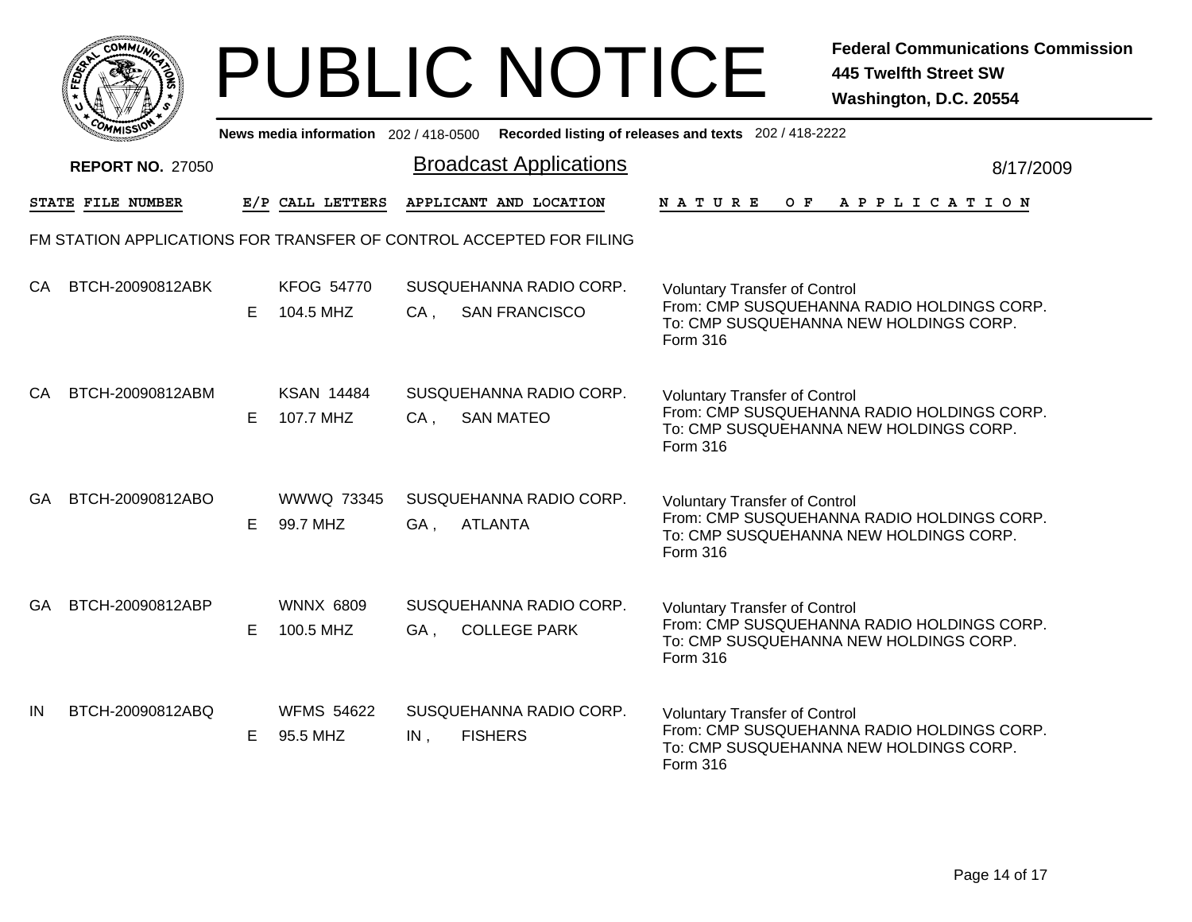|           | <b>COMMUNT</b> |   |
|-----------|----------------|---|
| EDE)<br>c |                | ્ |
|           |                |   |
|           | COM<br>MISS    |   |

|     | <b>COMMISSION</b>       |    | News media information 202 / 418-0500 |        |                                                                     | Recorded listing of releases and texts 202 / 418-2222                                                                                    |
|-----|-------------------------|----|---------------------------------------|--------|---------------------------------------------------------------------|------------------------------------------------------------------------------------------------------------------------------------------|
|     | <b>REPORT NO. 27050</b> |    |                                       |        | <b>Broadcast Applications</b>                                       | 8/17/2009                                                                                                                                |
|     | STATE FILE NUMBER       |    | E/P CALL LETTERS                      |        | APPLICANT AND LOCATION                                              | OF APPLICATION<br>N A T U R E                                                                                                            |
|     |                         |    |                                       |        | FM STATION APPLICATIONS FOR TRANSFER OF CONTROL ACCEPTED FOR FILING |                                                                                                                                          |
| CA. | BTCH-20090812ABK        | E. | <b>KFOG 54770</b><br>104.5 MHZ        | $CA$ , | SUSQUEHANNA RADIO CORP.<br><b>SAN FRANCISCO</b>                     | <b>Voluntary Transfer of Control</b><br>From: CMP SUSQUEHANNA RADIO HOLDINGS CORP.<br>To: CMP SUSQUEHANNA NEW HOLDINGS CORP.<br>Form 316 |
| CA. | BTCH-20090812ABM        | E. | <b>KSAN 14484</b><br>107.7 MHZ        | $CA$ , | SUSQUEHANNA RADIO CORP.<br><b>SAN MATEO</b>                         | <b>Voluntary Transfer of Control</b><br>From: CMP SUSQUEHANNA RADIO HOLDINGS CORP.<br>To: CMP SUSQUEHANNA NEW HOLDINGS CORP.<br>Form 316 |
| GA. | BTCH-20090812ABO        | E. | <b>WWWQ 73345</b><br>99.7 MHZ         | GA,    | SUSQUEHANNA RADIO CORP.<br><b>ATLANTA</b>                           | <b>Voluntary Transfer of Control</b><br>From: CMP SUSQUEHANNA RADIO HOLDINGS CORP.<br>To: CMP SUSQUEHANNA NEW HOLDINGS CORP.<br>Form 316 |
| GA. | BTCH-20090812ABP        | E. | <b>WNNX 6809</b><br>100.5 MHZ         | GA,    | SUSQUEHANNA RADIO CORP.<br><b>COLLEGE PARK</b>                      | <b>Voluntary Transfer of Control</b><br>From: CMP SUSQUEHANNA RADIO HOLDINGS CORP.<br>To: CMP SUSQUEHANNA NEW HOLDINGS CORP.<br>Form 316 |
| IN  | BTCH-20090812ABQ        | E  | <b>WFMS 54622</b><br>95.5 MHZ         | $IN$ , | SUSQUEHANNA RADIO CORP.<br><b>FISHERS</b>                           | <b>Voluntary Transfer of Control</b><br>From: CMP SUSQUEHANNA RADIO HOLDINGS CORP.<br>To: CMP SUSQUEHANNA NEW HOLDINGS CORP.<br>Form 316 |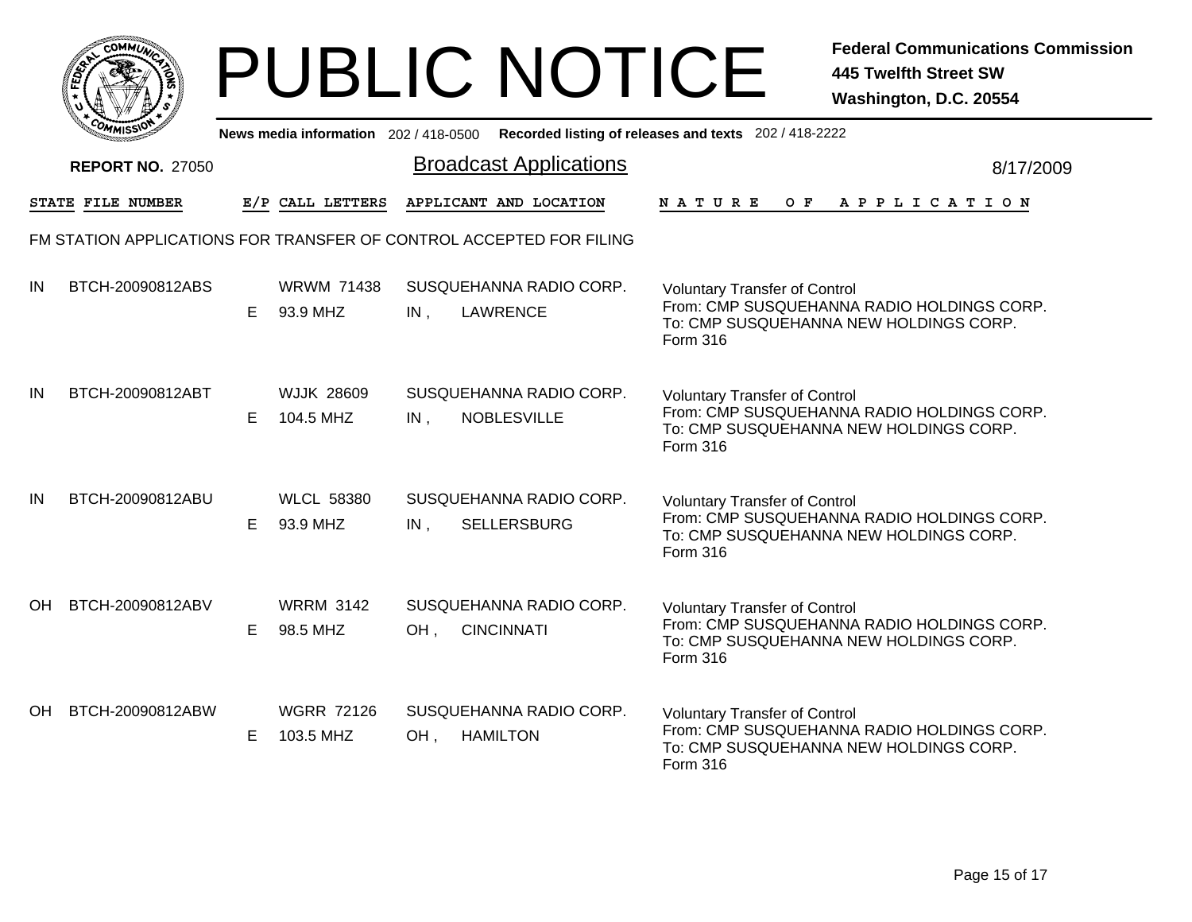|       | MMUNICT<br>c۵۱ |  |
|-------|----------------|--|
| FEDET |                |  |
|       |                |  |
|       | COMI<br>MISS   |  |

|     | יככוואויי               |    |                                | News media information 202/418-0500 Recorded listing of releases and texts 202/418-2222 |                                                                                                                                          |
|-----|-------------------------|----|--------------------------------|-----------------------------------------------------------------------------------------|------------------------------------------------------------------------------------------------------------------------------------------|
|     | <b>REPORT NO. 27050</b> |    |                                | <b>Broadcast Applications</b>                                                           | 8/17/2009                                                                                                                                |
|     | STATE FILE NUMBER       |    | E/P CALL LETTERS               | APPLICANT AND LOCATION                                                                  | NATURE<br>O F<br>A P P L I C A T I O N                                                                                                   |
|     |                         |    |                                | FM STATION APPLICATIONS FOR TRANSFER OF CONTROL ACCEPTED FOR FILING                     |                                                                                                                                          |
| IN  | BTCH-20090812ABS        | E. | <b>WRWM 71438</b><br>93.9 MHZ  | SUSQUEHANNA RADIO CORP.<br>IN,<br><b>LAWRENCE</b>                                       | <b>Voluntary Transfer of Control</b><br>From: CMP SUSQUEHANNA RADIO HOLDINGS CORP.<br>To: CMP SUSQUEHANNA NEW HOLDINGS CORP.<br>Form 316 |
| IN  | BTCH-20090812ABT        | E. | <b>WJJK 28609</b><br>104.5 MHZ | SUSQUEHANNA RADIO CORP.<br><b>NOBLESVILLE</b><br>IN,                                    | <b>Voluntary Transfer of Control</b><br>From: CMP SUSQUEHANNA RADIO HOLDINGS CORP.<br>To: CMP SUSQUEHANNA NEW HOLDINGS CORP.<br>Form 316 |
| IN  | BTCH-20090812ABU        | E. | <b>WLCL 58380</b><br>93.9 MHZ  | SUSQUEHANNA RADIO CORP.<br>$IN$ ,<br><b>SELLERSBURG</b>                                 | <b>Voluntary Transfer of Control</b><br>From: CMP SUSQUEHANNA RADIO HOLDINGS CORP.<br>To: CMP SUSQUEHANNA NEW HOLDINGS CORP.<br>Form 316 |
| OH. | BTCH-20090812ABV        | E. | <b>WRRM 3142</b><br>98.5 MHZ   | SUSQUEHANNA RADIO CORP.<br><b>CINCINNATI</b><br>OH,                                     | <b>Voluntary Transfer of Control</b><br>From: CMP SUSQUEHANNA RADIO HOLDINGS CORP.<br>To: CMP SUSQUEHANNA NEW HOLDINGS CORP.<br>Form 316 |
| OH. | BTCH-20090812ABW        | E. | <b>WGRR 72126</b><br>103.5 MHZ | SUSQUEHANNA RADIO CORP.<br>OH,<br><b>HAMILTON</b>                                       | <b>Voluntary Transfer of Control</b><br>From: CMP SUSQUEHANNA RADIO HOLDINGS CORP.<br>To: CMP SUSQUEHANNA NEW HOLDINGS CORP.<br>Form 316 |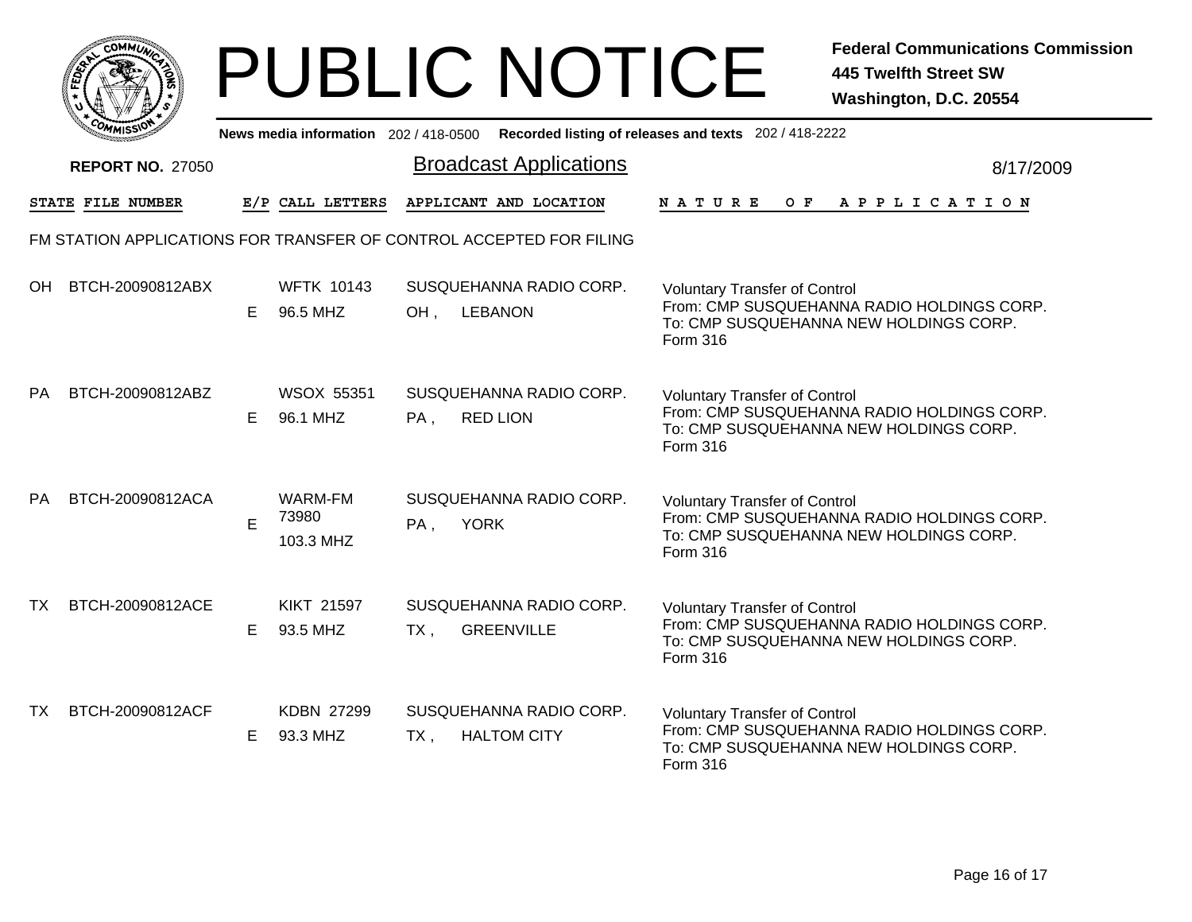|      | MMUNICT<br>$C_{\mathbf{U}}$ |  |
|------|-----------------------------|--|
| EDE) |                             |  |
|      |                             |  |
| COM  | MISS                        |  |

|           | <b>COMMISSIO</b>        |    |                               | News media information 202 / 418-0500 Recorded listing of releases and texts 202 / 418-2222 |                                                                                                                                                 |
|-----------|-------------------------|----|-------------------------------|---------------------------------------------------------------------------------------------|-------------------------------------------------------------------------------------------------------------------------------------------------|
|           | <b>REPORT NO. 27050</b> |    |                               | <b>Broadcast Applications</b>                                                               | 8/17/2009                                                                                                                                       |
|           | STATE FILE NUMBER       |    | E/P CALL LETTERS              | APPLICANT AND LOCATION                                                                      | OF APPLICATION<br>N A T U R E                                                                                                                   |
|           |                         |    |                               | FM STATION APPLICATIONS FOR TRANSFER OF CONTROL ACCEPTED FOR FILING                         |                                                                                                                                                 |
| OH.       | BTCH-20090812ABX        | E. | <b>WFTK 10143</b><br>96.5 MHZ | SUSQUEHANNA RADIO CORP.<br>OH,<br><b>LEBANON</b>                                            | <b>Voluntary Transfer of Control</b><br>From: CMP SUSQUEHANNA RADIO HOLDINGS CORP.<br>To: CMP SUSQUEHANNA NEW HOLDINGS CORP.<br>Form 316        |
| <b>PA</b> | BTCH-20090812ABZ        | E. | <b>WSOX 55351</b><br>96.1 MHZ | SUSQUEHANNA RADIO CORP.<br><b>RED LION</b><br>PA,                                           | <b>Voluntary Transfer of Control</b><br>From: CMP SUSQUEHANNA RADIO HOLDINGS CORP.<br>To: CMP SUSQUEHANNA NEW HOLDINGS CORP.<br>Form 316        |
| <b>PA</b> | BTCH-20090812ACA        | E  | WARM-FM<br>73980<br>103.3 MHZ | SUSQUEHANNA RADIO CORP.<br><b>YORK</b><br>PA,                                               | <b>Voluntary Transfer of Control</b><br>From: CMP SUSQUEHANNA RADIO HOLDINGS CORP.<br>To: CMP SUSQUEHANNA NEW HOLDINGS CORP.<br>Form 316        |
| ΤХ        | BTCH-20090812ACE        | E. | <b>KIKT 21597</b><br>93.5 MHZ | SUSQUEHANNA RADIO CORP.<br><b>GREENVILLE</b><br>TX,                                         | <b>Voluntary Transfer of Control</b><br>From: CMP SUSQUEHANNA RADIO HOLDINGS CORP.<br>To: CMP SUSQUEHANNA NEW HOLDINGS CORP.<br><b>Form 316</b> |
| ТX        | BTCH-20090812ACF        | E. | KDBN 27299<br>93.3 MHZ        | SUSQUEHANNA RADIO CORP.<br><b>HALTOM CITY</b><br>TX,                                        | <b>Voluntary Transfer of Control</b><br>From: CMP SUSQUEHANNA RADIO HOLDINGS CORP.<br>To: CMP SUSQUEHANNA NEW HOLDINGS CORP.<br>Form 316        |